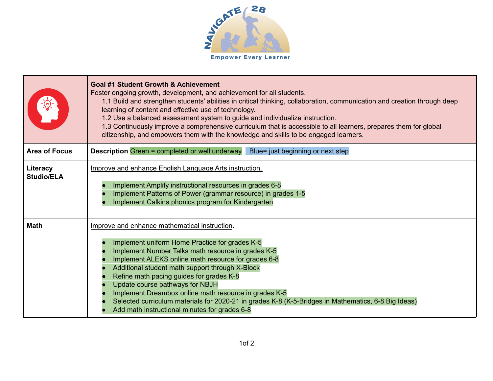

|                               | Goal #1 Student Growth & Achievement<br>Foster ongoing growth, development, and achievement for all students.<br>1.1 Build and strengthen students' abilities in critical thinking, collaboration, communication and creation through deep<br>learning of content and effective use of technology.<br>1.2 Use a balanced assessment system to guide and individualize instruction.<br>1.3 Continuously improve a comprehensive curriculum that is accessible to all learners, prepares them for global<br>citizenship, and empowers them with the knowledge and skills to be engaged learners. |
|-------------------------------|------------------------------------------------------------------------------------------------------------------------------------------------------------------------------------------------------------------------------------------------------------------------------------------------------------------------------------------------------------------------------------------------------------------------------------------------------------------------------------------------------------------------------------------------------------------------------------------------|
| <b>Area of Focus</b>          | <b>Description Green = completed or well underway</b> Blue= just beginning or next step                                                                                                                                                                                                                                                                                                                                                                                                                                                                                                        |
| Literacy<br><b>Studio/ELA</b> | <b>Improve and enhance English Language Arts instruction.</b><br>Implement Amplify instructional resources in grades 6-8<br>Implement Patterns of Power (grammar resource) in grades 1-5<br>Implement Calkins phonics program for Kindergarten                                                                                                                                                                                                                                                                                                                                                 |
| <b>Math</b>                   | Improve and enhance mathematical instruction.<br>Implement uniform Home Practice for grades K-5<br>Implement Number Talks math resource in grades K-5<br>Implement ALEKS online math resource for grades 6-8<br>Additional student math support through X-Block<br>Refine math pacing guides for grades K-8<br>Update course pathways for NBJH<br>Implement Dreambox online math resource in grades K-5<br>Selected curriculum materials for 2020-21 in grades K-8 (K-5-Bridges in Mathematics, 6-8 Big Ideas)<br>Add math instructional minutes for grades 6-8                                |